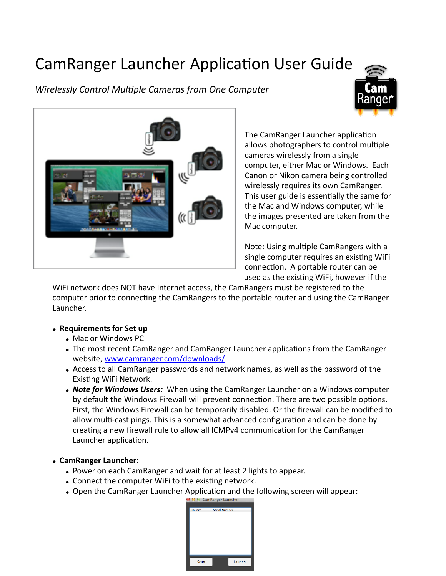# CamRanger Launcher Application User Guide

# *Wirelessly Control Mul/ple Cameras from One Computer*





The CamRanger Launcher application allows photographers to control multiple cameras wirelessly from a single computer, either Mac or Windows. Each Canon or Nikon camera being controlled wirelessly requires its own CamRanger. This user guide is essentially the same for the Mac and Windows computer, while the images presented are taken from the Mac computer.

Note: Using multiple CamRangers with a single computer requires an existing WiFi connection. A portable router can be used as the existing WiFi, however if the

WiFi network does NOT have Internet access, the CamRangers must be registered to the computer prior to connecting the CamRangers to the portable router and using the CamRanger Launcher.

## • Requirements for Set up

- Mac or Windows PC
- The most recent CamRanger and CamRanger Launcher applications from the CamRanger website, [www.camranger.com/downloads/.](http://www.camranger.com/downloads/)
- Access to all CamRanger passwords and network names, as well as the password of the Existing WiFi Network.
- *Note for Windows Users:* When using the CamRanger Launcher on a Windows computer by default the Windows Firewall will prevent connection. There are two possible options. First, the Windows Firewall can be temporarily disabled. Or the firewall can be modified to allow multi-cast pings. This is a somewhat advanced configuration and can be done by creating a new firewall rule to allow all ICMPv4 communication for the CamRanger Launcher application.

## • **CamRanger Launcher:**

- Power on each CamRanger and wait for at least 2 lights to appear.
- Connect the computer WiFi to the existing network.
- Open the CamRanger Launcher Application and the following screen will appear:

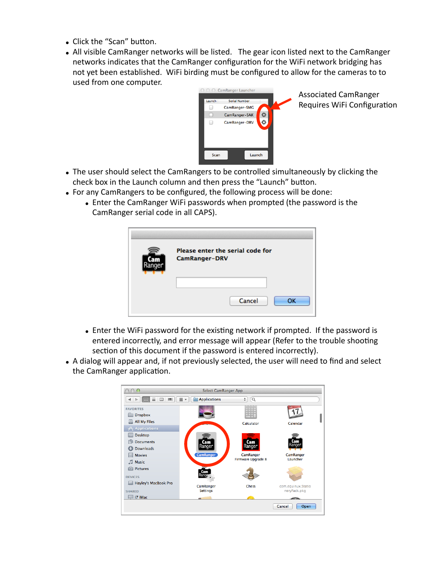- Click the "Scan" button.
- All visible CamRanger networks will be listed. The gear icon listed next to the CamRanger networks indicates that the CamRanger configuration for the WiFi network bridging has not yet been established. WiFi birding must be configured to allow for the cameras to to used from one computer.



Associated CamRanger Requires WiFi Configuration

- The user should select the CamRangers to be controlled simultaneously by clicking the check box in the Launch column and then press the "Launch" button.
- For any CamRangers to be configured, the following process will be done:
	- Enter the CamRanger WiFi passwords when prompted (the password is the CamRanger serial code in all CAPS).

|  | Please enter the serial code for<br>CamRanger-DRV |
|--|---------------------------------------------------|
|  | Cancel<br><b>OK</b>                               |

- Enter the WiFi password for the existing network if prompted. If the password is entered incorrectly, and error message will appear (Refer to the trouble shooting section of this document if the password is entered incorrectly).
- A dialog will appear and, if not previously selected, the user will need to find and select the CamRanger application.

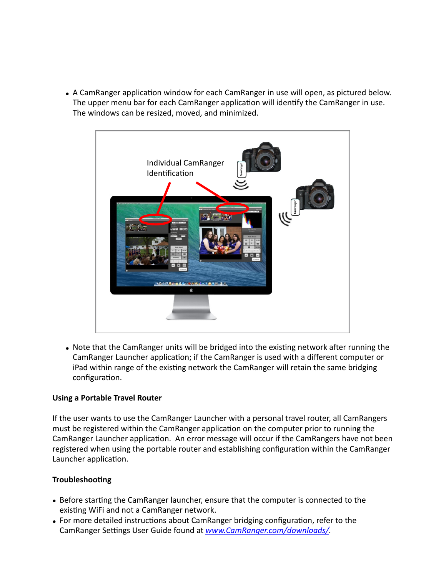• A CamRanger application window for each CamRanger in use will open, as pictured below. The upper menu bar for each CamRanger application will identify the CamRanger in use. The windows can be resized, moved, and minimized.



• Note that the CamRanger units will be bridged into the existing network after running the CamRanger Launcher application; if the CamRanger is used with a different computer or iPad within range of the existing network the CamRanger will retain the same bridging configuration.

## **Using a Portable Travel Router**

If the user wants to use the CamRanger Launcher with a personal travel router, all CamRangers must be registered within the CamRanger application on the computer prior to running the CamRanger Launcher application. An error message will occur if the CamRangers have not been registered when using the portable router and establishing configuration within the CamRanger Launcher application.

#### **Troubleshooting**

- Before starting the CamRanger launcher, ensure that the computer is connected to the existing WiFi and not a CamRanger network.
- For more detailed instructions about CamRanger bridging configuration, refer to the CamRanger Settings User Guide found at **www.CamRanger.com/downloads/**.